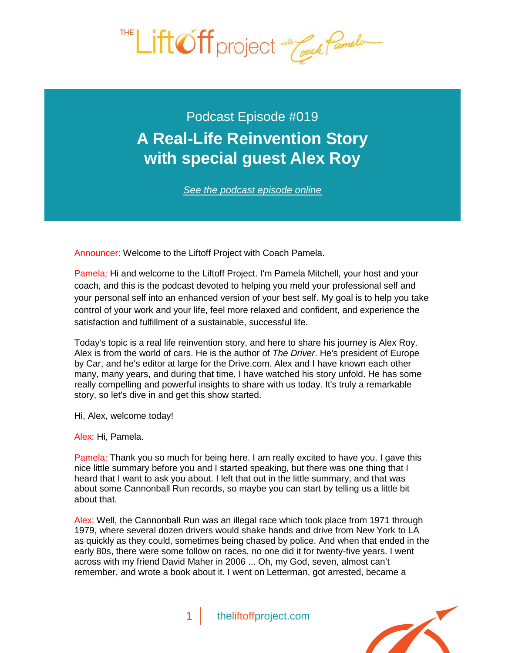

Podcast Episode #019 **[A Real-Life Reinvention Story](http://theliftoffproject.com/real-life-reinvention-story-special-guest-alex-roy/)  with special guest Alex Roy**

*See the podcast episode online*

Announcer: Welcome to the Liftoff Project with Coach Pamela.

Pamela: Hi and welcome to the Liftoff Project. I'm Pamela Mitchell, your host and your coach, and this is the podcast devoted to helping you meld your professional self and your personal self into an enhanced version of your best self. My goal is to help you take control of your work and your life, feel more relaxed and confident, and experience the satisfaction and fulfillment of a sustainable, successful life.

Today's topic is a real life reinvention story, and here to share his journey is Alex Roy. Alex is from the world of cars. He is the author of *The Driver*. He's president of Europe by Car, and he's editor at large for the Drive.com. Alex and I have known each other many, many years, and during that time, I have watched his story unfold. He has some really compelling and powerful insights to share with us today. It's truly a remarkable story, so let's dive in and get this show started.

Hi, Alex, welcome today!

Alex: Hi, Pamela.

Pamela: Thank you so much for being here. I am really excited to have you. I gave this nice little summary before you and I started speaking, but there was one thing that I heard that I want to ask you about. I left that out in the little summary, and that was about some Cannonball Run records, so maybe you can start by telling us a little bit about that.

Alex: Well, the Cannonball Run was an illegal race which took place from 1971 through 1979, where several dozen drivers would shake hands and drive from New York to LA as quickly as they could, sometimes being chased by police. And when that ended in the early 80s, there were some follow on races, no one did it for twenty-five years. I went across with my friend David Maher in 2006 ... Oh, my God, seven, almost can't remember, and wrote a book about it. I went on Letterman, got arrested, became a

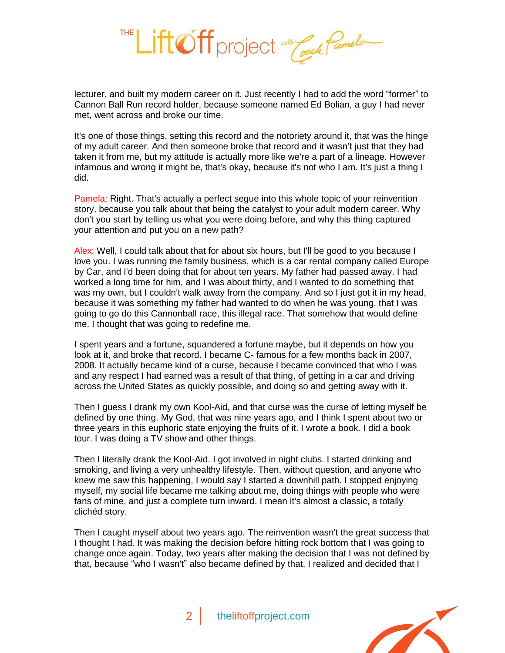

lecturer, and built my modern career on it. Just recently I had to add the word "former" to Cannon Ball Run record holder, because someone named Ed Bolian, a guy I had never met, went across and broke our time.

It's one of those things, setting this record and the notoriety around it, that was the hinge of my adult career. And then someone broke that record and it wasn't just that they had taken it from me, but my attitude is actually more like we're a part of a lineage. However infamous and wrong it might be, that's okay, because it's not who I am. It's just a thing I did.

Pamela: Right. That's actually a perfect segue into this whole topic of your reinvention story, because you talk about that being the catalyst to your adult modern career. Why don't you start by telling us what you were doing before, and why this thing captured your attention and put you on a new path?

Alex: Well, I could talk about that for about six hours, but I'll be good to you because I love you. I was running the family business, which is a car rental company called Europe by Car, and I'd been doing that for about ten years. My father had passed away. I had worked a long time for him, and I was about thirty, and I wanted to do something that was my own, but I couldn't walk away from the company. And so I just got it in my head, because it was something my father had wanted to do when he was young, that I was going to go do this Cannonball race, this illegal race. That somehow that would define me. I thought that was going to redefine me.

I spent years and a fortune, squandered a fortune maybe, but it depends on how you look at it, and broke that record. I became C- famous for a few months back in 2007, 2008. It actually became kind of a curse, because I became convinced that who I was and any respect I had earned was a result of that thing, of getting in a car and driving across the United States as quickly possible, and doing so and getting away with it.

Then I guess I drank my own Kool-Aid, and that curse was the curse of letting myself be defined by one thing. My God, that was nine years ago, and I think I spent about two or three years in this euphoric state enjoying the fruits of it. I wrote a book. I did a book tour. I was doing a TV show and other things.

Then I literally drank the Kool-Aid. I got involved in night clubs. I started drinking and smoking, and living a very unhealthy lifestyle. Then, without question, and anyone who knew me saw this happening, I would say I started a downhill path. I stopped enjoying myself, my social life became me talking about me, doing things with people who were fans of mine, and just a complete turn inward. I mean it's almost a classic, a totally clichéd story.

Then I caught myself about two years ago. The reinvention wasn't the great success that I thought I had. It was making the decision before hitting rock bottom that I was going to change once again. Today, two years after making the decision that I was not defined by that, because "who I wasn't" also became defined by that, I realized and decided that I

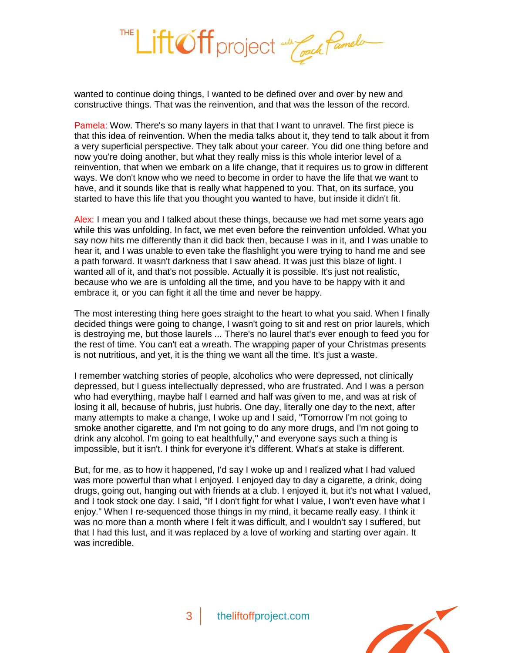

wanted to continue doing things, I wanted to be defined over and over by new and constructive things. That was the reinvention, and that was the lesson of the record.

Pamela: Wow. There's so many layers in that that I want to unravel. The first piece is that this idea of reinvention. When the media talks about it, they tend to talk about it from a very superficial perspective. They talk about your career. You did one thing before and now you're doing another, but what they really miss is this whole interior level of a reinvention, that when we embark on a life change, that it requires us to grow in different ways. We don't know who we need to become in order to have the life that we want to have, and it sounds like that is really what happened to you. That, on its surface, you started to have this life that you thought you wanted to have, but inside it didn't fit.

Alex: I mean you and I talked about these things, because we had met some years ago while this was unfolding. In fact, we met even before the reinvention unfolded. What you say now hits me differently than it did back then, because I was in it, and I was unable to hear it, and I was unable to even take the flashlight you were trying to hand me and see a path forward. It wasn't darkness that I saw ahead. It was just this blaze of light. I wanted all of it, and that's not possible. Actually it is possible. It's just not realistic, because who we are is unfolding all the time, and you have to be happy with it and embrace it, or you can fight it all the time and never be happy.

The most interesting thing here goes straight to the heart to what you said. When I finally decided things were going to change, I wasn't going to sit and rest on prior laurels, which is destroying me, but those laurels ... There's no laurel that's ever enough to feed you for the rest of time. You can't eat a wreath. The wrapping paper of your Christmas presents is not nutritious, and yet, it is the thing we want all the time. It's just a waste.

I remember watching stories of people, alcoholics who were depressed, not clinically depressed, but I guess intellectually depressed, who are frustrated. And I was a person who had everything, maybe half I earned and half was given to me, and was at risk of losing it all, because of hubris, just hubris. One day, literally one day to the next, after many attempts to make a change, I woke up and I said, "Tomorrow I'm not going to smoke another cigarette, and I'm not going to do any more drugs, and I'm not going to drink any alcohol. I'm going to eat healthfully," and everyone says such a thing is impossible, but it isn't. I think for everyone it's different. What's at stake is different.

But, for me, as to how it happened, I'd say I woke up and I realized what I had valued was more powerful than what I enjoyed. I enjoyed day to day a cigarette, a drink, doing drugs, going out, hanging out with friends at a club. I enjoyed it, but it's not what I valued, and I took stock one day. I said, "If I don't fight for what I value, I won't even have what I enjoy." When I re-sequenced those things in my mind, it became really easy. I think it was no more than a month where I felt it was difficult, and I wouldn't say I suffered, but that I had this lust, and it was replaced by a love of working and starting over again. It was incredible.

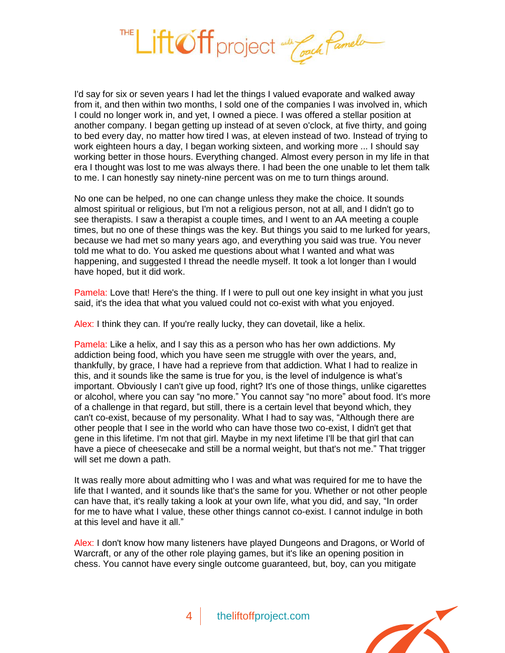

I'd say for six or seven years I had let the things I valued evaporate and walked away from it, and then within two months, I sold one of the companies I was involved in, which I could no longer work in, and yet, I owned a piece. I was offered a stellar position at another company. I began getting up instead of at seven o'clock, at five thirty, and going to bed every day, no matter how tired I was, at eleven instead of two. Instead of trying to work eighteen hours a day, I began working sixteen, and working more ... I should say working better in those hours. Everything changed. Almost every person in my life in that era I thought was lost to me was always there. I had been the one unable to let them talk to me. I can honestly say ninety-nine percent was on me to turn things around.

No one can be helped, no one can change unless they make the choice. It sounds almost spiritual or religious, but I'm not a religious person, not at all, and I didn't go to see therapists. I saw a therapist a couple times, and I went to an AA meeting a couple times, but no one of these things was the key. But things you said to me lurked for years, because we had met so many years ago, and everything you said was true. You never told me what to do. You asked me questions about what I wanted and what was happening, and suggested I thread the needle myself. It took a lot longer than I would have hoped, but it did work.

Pamela: Love that! Here's the thing. If I were to pull out one key insight in what you just said, it's the idea that what you valued could not co-exist with what you enjoyed.

Alex: I think they can. If you're really lucky, they can dovetail, like a helix.

Pamela: Like a helix, and I say this as a person who has her own addictions. My addiction being food, which you have seen me struggle with over the years, and, thankfully, by grace, I have had a reprieve from that addiction. What I had to realize in this, and it sounds like the same is true for you, is the level of indulgence is what's important. Obviously I can't give up food, right? It's one of those things, unlike cigarettes or alcohol, where you can say "no more." You cannot say "no more" about food. It's more of a challenge in that regard, but still, there is a certain level that beyond which, they can't co-exist, because of my personality. What I had to say was, "Although there are other people that I see in the world who can have those two co-exist, I didn't get that gene in this lifetime. I'm not that girl. Maybe in my next lifetime I'll be that girl that can have a piece of cheesecake and still be a normal weight, but that's not me." That trigger will set me down a path.

It was really more about admitting who I was and what was required for me to have the life that I wanted, and it sounds like that's the same for you. Whether or not other people can have that, it's really taking a look at your own life, what you did, and say, "In order for me to have what I value, these other things cannot co-exist. I cannot indulge in both at this level and have it all."

Alex: I don't know how many listeners have played Dungeons and Dragons, or World of Warcraft, or any of the other role playing games, but it's like an opening position in chess. You cannot have every single outcome guaranteed, but, boy, can you mitigate

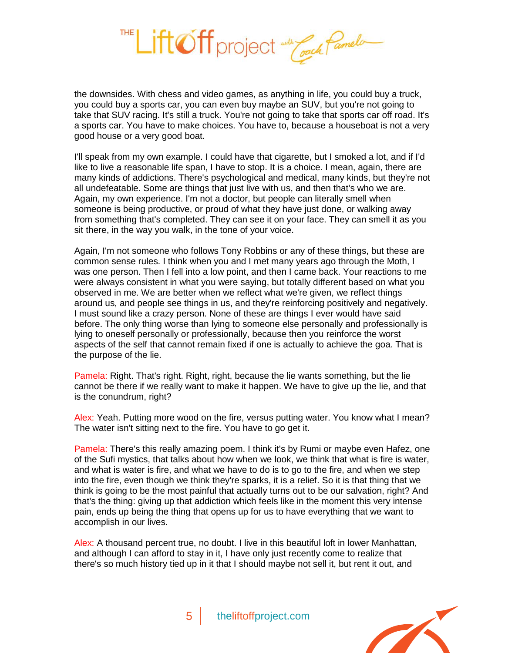

the downsides. With chess and video games, as anything in life, you could buy a truck, you could buy a sports car, you can even buy maybe an SUV, but you're not going to take that SUV racing. It's still a truck. You're not going to take that sports car off road. It's a sports car. You have to make choices. You have to, because a houseboat is not a very good house or a very good boat.

I'll speak from my own example. I could have that cigarette, but I smoked a lot, and if I'd like to live a reasonable life span, I have to stop. It is a choice. I mean, again, there are many kinds of addictions. There's psychological and medical, many kinds, but they're not all undefeatable. Some are things that just live with us, and then that's who we are. Again, my own experience. I'm not a doctor, but people can literally smell when someone is being productive, or proud of what they have just done, or walking away from something that's completed. They can see it on your face. They can smell it as you sit there, in the way you walk, in the tone of your voice.

Again, I'm not someone who follows Tony Robbins or any of these things, but these are common sense rules. I think when you and I met many years ago through the Moth, I was one person. Then I fell into a low point, and then I came back. Your reactions to me were always consistent in what you were saying, but totally different based on what you observed in me. We are better when we reflect what we're given, we reflect things around us, and people see things in us, and they're reinforcing positively and negatively. I must sound like a crazy person. None of these are things I ever would have said before. The only thing worse than lying to someone else personally and professionally is lying to oneself personally or professionally, because then you reinforce the worst aspects of the self that cannot remain fixed if one is actually to achieve the goa. That is the purpose of the lie.

Pamela: Right. That's right. Right, right, because the lie wants something, but the lie cannot be there if we really want to make it happen. We have to give up the lie, and that is the conundrum, right?

Alex: Yeah. Putting more wood on the fire, versus putting water. You know what I mean? The water isn't sitting next to the fire. You have to go get it.

Pamela: There's this really amazing poem. I think it's by Rumi or maybe even Hafez, one of the Sufi mystics, that talks about how when we look, we think that what is fire is water, and what is water is fire, and what we have to do is to go to the fire, and when we step into the fire, even though we think they're sparks, it is a relief. So it is that thing that we think is going to be the most painful that actually turns out to be our salvation, right? And that's the thing: giving up that addiction which feels like in the moment this very intense pain, ends up being the thing that opens up for us to have everything that we want to accomplish in our lives.

Alex: A thousand percent true, no doubt. I live in this beautiful loft in lower Manhattan, and although I can afford to stay in it, I have only just recently come to realize that there's so much history tied up in it that I should maybe not sell it, but rent it out, and

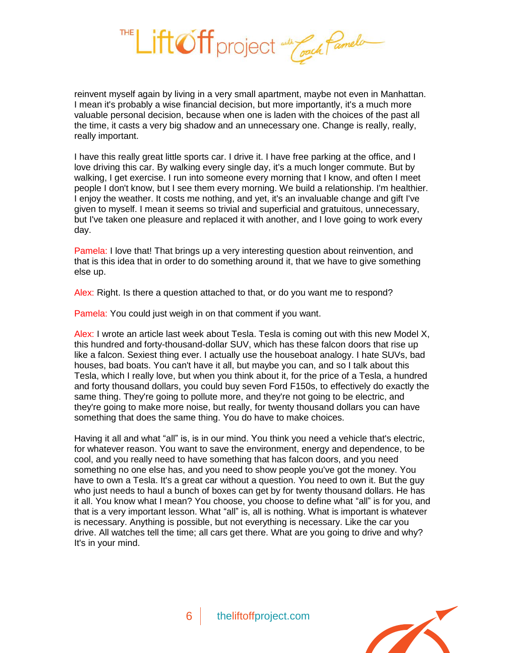

reinvent myself again by living in a very small apartment, maybe not even in Manhattan. I mean it's probably a wise financial decision, but more importantly, it's a much more valuable personal decision, because when one is laden with the choices of the past all the time, it casts a very big shadow and an unnecessary one. Change is really, really, really important.

I have this really great little sports car. I drive it. I have free parking at the office, and I love driving this car. By walking every single day, it's a much longer commute. But by walking, I get exercise. I run into someone every morning that I know, and often I meet people I don't know, but I see them every morning. We build a relationship. I'm healthier. I enjoy the weather. It costs me nothing, and yet, it's an invaluable change and gift I've given to myself. I mean it seems so trivial and superficial and gratuitous, unnecessary, but I've taken one pleasure and replaced it with another, and I love going to work every day.

Pamela: I love that! That brings up a very interesting question about reinvention, and that is this idea that in order to do something around it, that we have to give something else up.

Alex: Right. Is there a question attached to that, or do you want me to respond?

Pamela: You could just weigh in on that comment if you want.

Alex: I wrote an article last week about Tesla. Tesla is coming out with this new Model X, this hundred and forty-thousand-dollar SUV, which has these falcon doors that rise up like a falcon. Sexiest thing ever. I actually use the houseboat analogy. I hate SUVs, bad houses, bad boats. You can't have it all, but maybe you can, and so I talk about this Tesla, which I really love, but when you think about it, for the price of a Tesla, a hundred and forty thousand dollars, you could buy seven Ford F150s, to effectively do exactly the same thing. They're going to pollute more, and they're not going to be electric, and they're going to make more noise, but really, for twenty thousand dollars you can have something that does the same thing. You do have to make choices.

Having it all and what "all" is, is in our mind. You think you need a vehicle that's electric, for whatever reason. You want to save the environment, energy and dependence, to be cool, and you really need to have something that has falcon doors, and you need something no one else has, and you need to show people you've got the money. You have to own a Tesla. It's a great car without a question. You need to own it. But the guy who just needs to haul a bunch of boxes can get by for twenty thousand dollars. He has it all. You know what I mean? You choose, you choose to define what "all" is for you, and that is a very important lesson. What "all" is, all is nothing. What is important is whatever is necessary. Anything is possible, but not everything is necessary. Like the car you drive. All watches tell the time; all cars get there. What are you going to drive and why? It's in your mind.

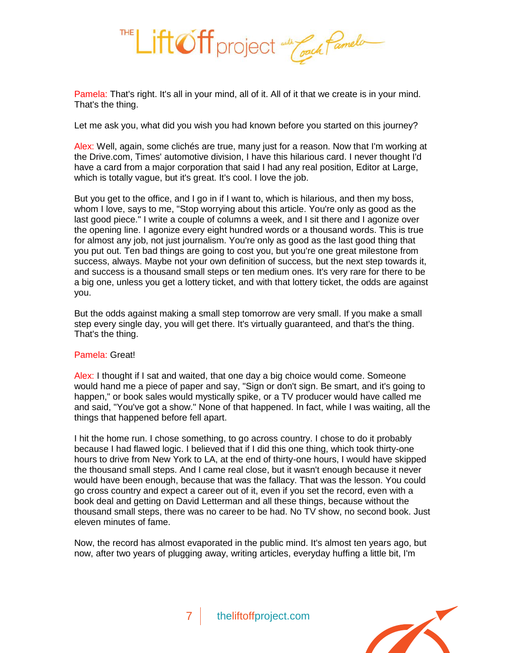

Pamela: That's right. It's all in your mind, all of it. All of it that we create is in your mind. That's the thing.

Let me ask you, what did you wish you had known before you started on this journey?

Alex: Well, again, some clichés are true, many just for a reason. Now that I'm working at the Drive.com, Times' automotive division, I have this hilarious card. I never thought I'd have a card from a major corporation that said I had any real position, Editor at Large, which is totally vague, but it's great. It's cool. I love the job.

But you get to the office, and I go in if I want to, which is hilarious, and then my boss, whom I love, says to me, "Stop worrying about this article. You're only as good as the last good piece." I write a couple of columns a week, and I sit there and I agonize over the opening line. I agonize every eight hundred words or a thousand words. This is true for almost any job, not just journalism. You're only as good as the last good thing that you put out. Ten bad things are going to cost you, but you're one great milestone from success, always. Maybe not your own definition of success, but the next step towards it, and success is a thousand small steps or ten medium ones. It's very rare for there to be a big one, unless you get a lottery ticket, and with that lottery ticket, the odds are against you.

But the odds against making a small step tomorrow are very small. If you make a small step every single day, you will get there. It's virtually guaranteed, and that's the thing. That's the thing.

## Pamela: Great!

Alex: I thought if I sat and waited, that one day a big choice would come. Someone would hand me a piece of paper and say, "Sign or don't sign. Be smart, and it's going to happen," or book sales would mystically spike, or a TV producer would have called me and said, "You've got a show." None of that happened. In fact, while I was waiting, all the things that happened before fell apart.

I hit the home run. I chose something, to go across country. I chose to do it probably because I had flawed logic. I believed that if I did this one thing, which took thirty-one hours to drive from New York to LA, at the end of thirty-one hours, I would have skipped the thousand small steps. And I came real close, but it wasn't enough because it never would have been enough, because that was the fallacy. That was the lesson. You could go cross country and expect a career out of it, even if you set the record, even with a book deal and getting on David Letterman and all these things, because without the thousand small steps, there was no career to be had. No TV show, no second book. Just eleven minutes of fame.

Now, the record has almost evaporated in the public mind. It's almost ten years ago, but now, after two years of plugging away, writing articles, everyday huffing a little bit, I'm

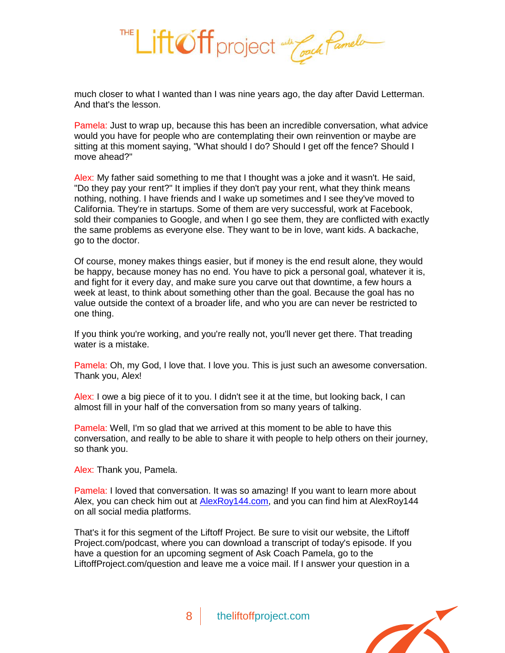

much closer to what I wanted than I was nine years ago, the day after David Letterman. And that's the lesson.

Pamela: Just to wrap up, because this has been an incredible conversation, what advice would you have for people who are contemplating their own reinvention or maybe are sitting at this moment saying, "What should I do? Should I get off the fence? Should I move ahead?"

Alex: My father said something to me that I thought was a joke and it wasn't. He said, "Do they pay your rent?" It implies if they don't pay your rent, what they think means nothing, nothing. I have friends and I wake up sometimes and I see they've moved to California. They're in startups. Some of them are very successful, work at Facebook, sold their companies to Google, and when I go see them, they are conflicted with exactly the same problems as everyone else. They want to be in love, want kids. A backache, go to the doctor.

Of course, money makes things easier, but if money is the end result alone, they would be happy, because money has no end. You have to pick a personal goal, whatever it is, and fight for it every day, and make sure you carve out that downtime, a few hours a week at least, to think about something other than the goal. Because the goal has no value outside the context of a broader life, and who you are can never be restricted to one thing.

If you think you're working, and you're really not, you'll never get there. That treading water is a mistake.

Pamela: Oh, my God, I love that. I love you. This is just such an awesome conversation. Thank you, Alex!

Alex: I owe a big piece of it to you. I didn't see it at the time, but looking back, I can almost fill in your half of the conversation from so many years of talking.

Pamela: Well, I'm so glad that we arrived at this moment to be able to have this conversation, and really to be able to share it with people to help others on their journey, so thank you.

Alex: Thank you, Pamela.

Pamela: I loved that conversation. It was so amazing! If you want to learn more about Alex, you can check him out at [AlexRoy144.com,](http://alexroy144.com/) and you can find him at AlexRoy144 on all social media platforms.

That's it for this segment of the Liftoff Project. Be sure to visit our website, the Liftoff Project.com/podcast, where you can download a transcript of today's episode. If you have a question for an upcoming segment of Ask Coach Pamela, go to the LiftoffProject.com/question and leave me a voice mail. If I answer your question in a